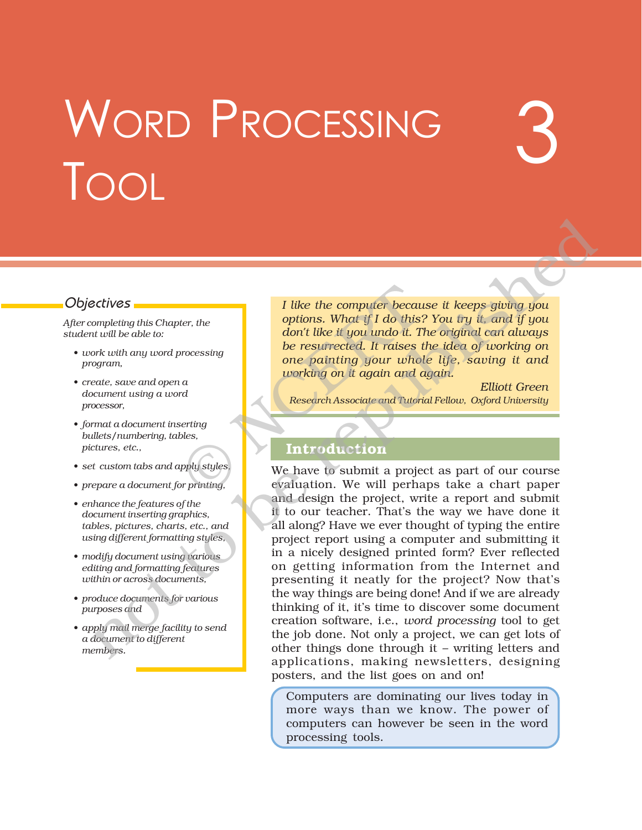# WORD PROCESSING TOOL

# Objectives

*After completing this Chapter, the student will be able to:*

- *ï work with any word processing program,*
- *ï create, save and open a document using a word processor,*
- *ï format a document inserting bullets/numbering, tables, pictures, etc.,*
- *ï set custom tabs and apply styles,*
- *ï prepare a document for printing,*
- *ï enhance the features of the document inserting graphics, tables, pictures, charts, etc., and using different formatting styles,*
- *ï modify document using various editing and formatting features within or across documents,*
- *ï produce documents for various purposes and*
- *ï apply mail merge facility to send a document to different members.*

*I like the computer because it keeps giving you options. What if I do this? You try it, and if you don't like it you undo it. The original can always be resurrected. It raises the idea of working on one painting your whole life, saving it and working on it again and again.* I like the computer because<br>options. What if I do this?<br>don't like it you undo it. The resurrected. It raises to<br>one painting your whole<br>working on it again and computer whole<br>working on it again and computer and Tutori<br>ev

3

*Elliott Green Research Associate and Tutorial Fellow, Oxford University*

# **Introduction**

We have to submit a project as part of our course evaluation. We will perhaps take a chart paper and design the project, write a report and submit it to our teacher. That's the way we have done it all along? Have we ever thought of typing the entire project report using a computer and submitting it in a nicely designed printed form? Ever reflected on getting information from the Internet and presenting it neatly for the project? Now that's the way things are being done! And if we are already thinking of it, it's time to discover some document creation software, i.e., *word processing* tool to get the job done. Not only a project, we can get lots of other things done through it  $-$  writing letters and applications, making newsletters, designing posters, and the list goes on and on! not to be republished

> Computers are dominating our lives today in more ways than we know. The power of computers can however be seen in the word processing tools.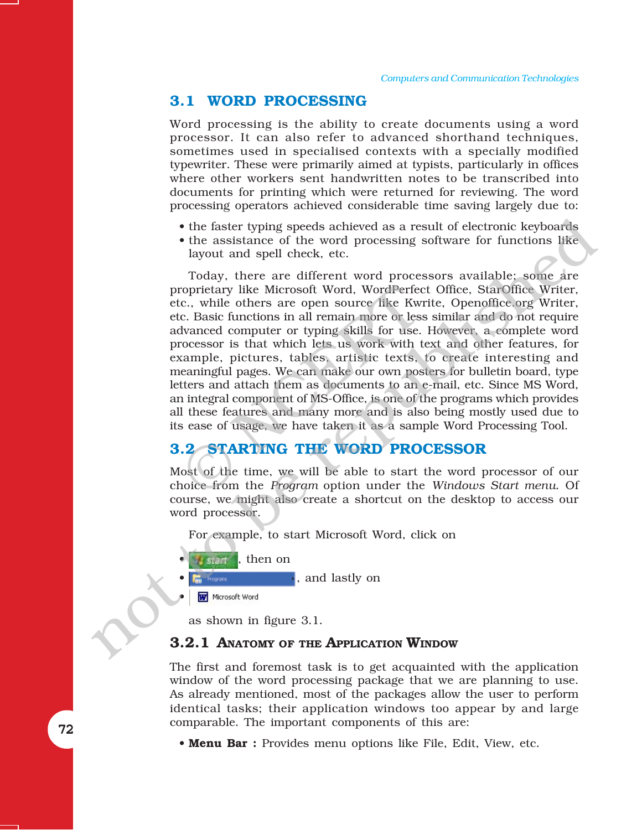### **3.1 WORD PROCESSING**

Word processing is the ability to create documents using a word processor. It can also refer to advanced shorthand techniques, sometimes used in specialised contexts with a specially modified typewriter. These were primarily aimed at typists, particularly in offices where other workers sent handwritten notes to be transcribed into documents for printing which were returned for reviewing. The word processing operators achieved considerable time saving largely due to:

- the faster typing speeds achieved as a result of electronic keyboards
- the assistance of the word processing software for functions like layout and spell check, etc.

Today, there are different word processors available; some are proprietary like Microsoft Word, WordPerfect Office, StarOffice Writer, etc., while others are open source like Kwrite, Openoffice.org Writer, etc. Basic functions in all remain more or less similar and do not require advanced computer or typing skills for use. However, a complete word processor is that which lets us work with text and other features, for example, pictures, tables, artistic texts, to create interesting and meaningful pages. We can make our own posters for bulletin board, type letters and attach them as documents to an e-mail, etc. Since MS Word, an integral component of MS-Office, is one of the programs which provides all these features and many more and is also being mostly used due to its ease of usage, we have taken it as a sample Word Processing Tool. roprietary like Microsoft Word, WordPerfecc., while others are open source like Kwice. Basic functions in all remain more or less hyanced computer or typing skills for use. rocessor is that which lets us work with t kample The final method of the value of the value of the results of the results of the assistance of the word processing software for functions like layout and spell check, etc.<br>Today, there are different word processors availab

# **3.2 STARTING THE WORD PROCESSOR**

Most of the time, we will be able to start the word processor of our choice from the *Program* option under the *Windows Start menu*. Of course, we might also create a shortcut on the desktop to access our word processor.

For example, to start Microsoft Word, click on



, and lastly on

ï

as shown in figure 3.1.

#### **3.2.1 ANATOMY OF THE APPLICATION WINDOW**

The first and foremost task is to get acquainted with the application window of the word processing package that we are planning to use. As already mentioned, most of the packages allow the user to perform identical tasks; their application windows too appear by and large comparable. The important components of this are:

• **Menu Bar :** Provides menu options like File, Edit, View, etc.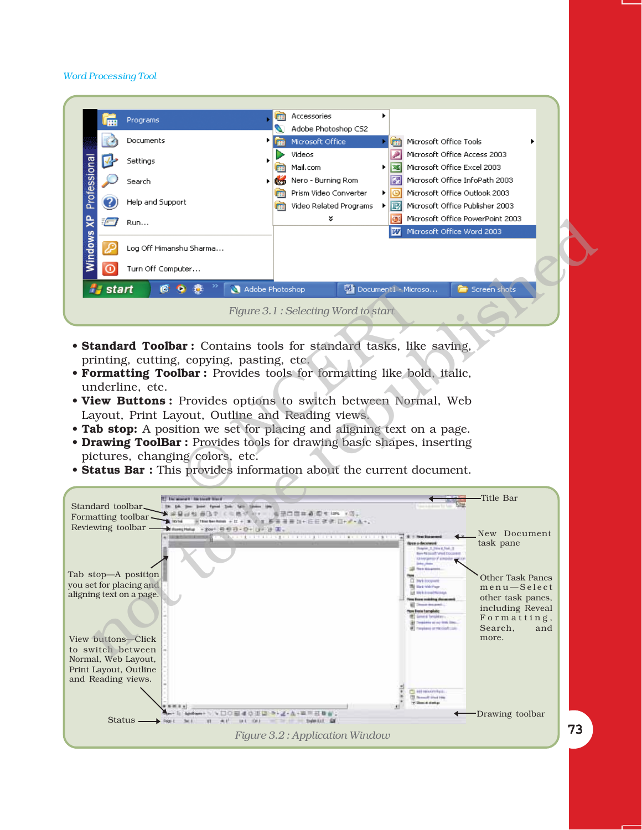|                         |                                   | Programs                                                                                                                                                                                                                                                                                                                                                                                                                                                                                                                                                                                                 | Accessories                         |    |     |                                     |
|-------------------------|-----------------------------------|----------------------------------------------------------------------------------------------------------------------------------------------------------------------------------------------------------------------------------------------------------------------------------------------------------------------------------------------------------------------------------------------------------------------------------------------------------------------------------------------------------------------------------------------------------------------------------------------------------|-------------------------------------|----|-----|-------------------------------------|
|                         |                                   |                                                                                                                                                                                                                                                                                                                                                                                                                                                                                                                                                                                                          | Adobe Photoshop CS2                 |    |     |                                     |
|                         |                                   | Documents                                                                                                                                                                                                                                                                                                                                                                                                                                                                                                                                                                                                | Microsoft Office                    |    |     | Microsoft Office Tools              |
|                         |                                   | Settings                                                                                                                                                                                                                                                                                                                                                                                                                                                                                                                                                                                                 | Videos                              |    |     | Microsoft Office Access 2003        |
|                         |                                   |                                                                                                                                                                                                                                                                                                                                                                                                                                                                                                                                                                                                          | Mail.com                            |    | ls: | Microsoft Office Excel 2003         |
|                         |                                   | Search                                                                                                                                                                                                                                                                                                                                                                                                                                                                                                                                                                                                   | Nero - Burning Rom                  |    |     | Microsoft Office InfoPath 2003      |
|                         |                                   |                                                                                                                                                                                                                                                                                                                                                                                                                                                                                                                                                                                                          | Prism Video Converter               |    | ⊧⊫வ | Microsoft Office Outlook 2003       |
|                         |                                   | Help and Support                                                                                                                                                                                                                                                                                                                                                                                                                                                                                                                                                                                         | Video Related Programs              | Þ. | IP. | Microsoft Office Publisher 2003     |
|                         | $\sqrt{-1}$                       | Run                                                                                                                                                                                                                                                                                                                                                                                                                                                                                                                                                                                                      | ×                                   |    | Юŧ  | Microsoft Office PowerPoint 2003    |
|                         |                                   |                                                                                                                                                                                                                                                                                                                                                                                                                                                                                                                                                                                                          |                                     |    | w   | Microsoft Office Word 2003          |
| Windows XP Professional |                                   | Log Off Himanshu Sharma                                                                                                                                                                                                                                                                                                                                                                                                                                                                                                                                                                                  |                                     |    |     |                                     |
|                         |                                   | Turn Off Computer                                                                                                                                                                                                                                                                                                                                                                                                                                                                                                                                                                                        |                                     |    |     |                                     |
|                         | <b><i>f<sub>s</sub></i></b> start | Adobe Photoshop<br>œ<br>Ð                                                                                                                                                                                                                                                                                                                                                                                                                                                                                                                                                                                |                                     |    |     | Document1 - Microso<br>Screen shots |
|                         |                                   |                                                                                                                                                                                                                                                                                                                                                                                                                                                                                                                                                                                                          | Figure 3.1: Selecting Word to start |    |     |                                     |
|                         |                                   | <b>• Standard Toolbar:</b> Contains tools for standard tasks, like saving,<br>printing, cutting, copying, pasting, etc.<br>• Formatting Toolbar: Provides tools for formatting like bold, italic,<br>underline, etc.<br>. View Buttons: Provides options to switch between Normal, Web<br>Layout, Print Layout, Outline and Reading views.<br>• Tab stop: A position we set for placing and aligning text on a page.<br>• Drawing ToolBar: Provides tools for drawing basic shapes, inserting<br>pictures, changing colors, etc.<br>• Status Bar : This provides information about the current document. |                                     |    |     |                                     |
|                         |                                   |                                                                                                                                                                                                                                                                                                                                                                                                                                                                                                                                                                                                          |                                     |    |     |                                     |

- **Standard Toolbar :** Contains tools for standard tasks, like saving, printing, cutting, copying, pasting, etc.
- **Formatting Toolbar :** Provides tools for formatting like bold, italic, underline, etc.
- View Buttons: Provides options to switch between Normal, Web Layout, Print Layout, Outline and Reading views.
- **ï Tab stop:** A position we set for placing and aligning text on a page.
- **Drawing ToolBar :** Provides tools for drawing basic shapes, inserting pictures, changing colors, etc.
- **Status Bar :** This provides information about the current document.

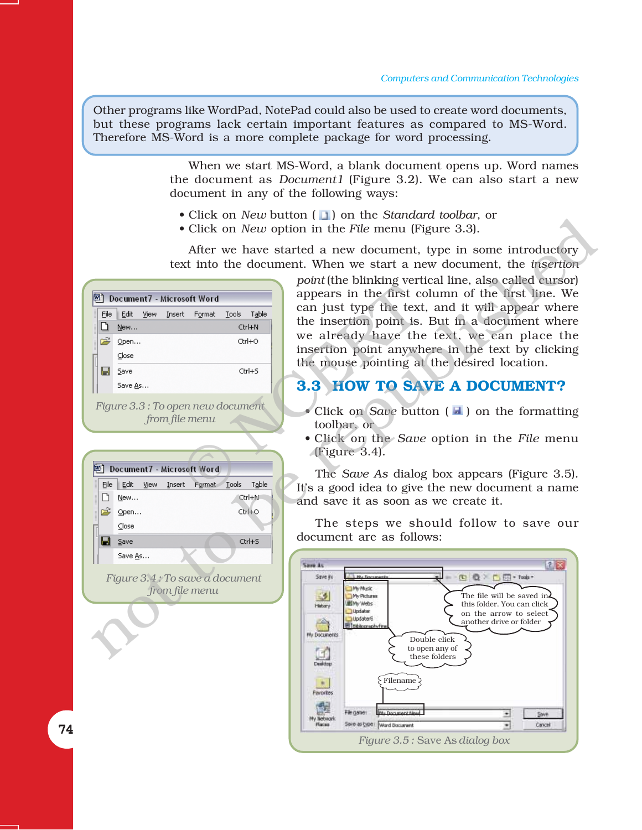Other programs like WordPad, NotePad could also be used to create word documents, but these programs lack certain important features as compared to MS-Word. Therefore MS-Word is a more complete package for word processing.

> When we start MS-Word, a blank document opens up. Word names the document as *Document1* (Figure 3.2). We can also start a new document in any of the following ways:

- Click on *New* button ( 1) on the *Standard toolbar*, or
- Click on *New* option in the *File* menu (Figure 3.3).

After we have started a new document, type in some introductory text into the document. When we start a new document, the *insertion*

|      |                                   |        |                        |              |        | $\beta$                              |
|------|-----------------------------------|--------|------------------------|--------------|--------|--------------------------------------|
| 网    | Document7 - Microsoft Word        |        |                        |              |        | appears in the first co              |
| File | Edit<br><b>View</b>               |        | Insert F <u>o</u> rmat | <b>Tools</b> | Table  | can just type the text               |
|      | New                               |        |                        |              | Ctrl+N | the insertion point is.              |
|      | p <sup>2</sup> Open               |        |                        |              | Ctrl+O | we already have the                  |
|      | Close                             |        |                        |              |        | insertion point anywh                |
| Н    | Save                              |        |                        |              | Ctrl+S | the mouse pointing at                |
|      | Save As                           |        |                        |              |        | 3.3 HOW TO SA                        |
|      | Figure 3.3 : To open new document |        | from file menu         |              |        | • Click on Save butt<br>toolbar, or  |
|      |                                   |        |                        |              |        | • Click on the Save<br>(Figure 3.4). |
|      | Document7 - Microsoft Word        |        |                        |              |        | The Save As dialog                   |
|      | File Edit<br><b>View</b>          | Insert | Format                 | Tools        | Table  | It's a good idea to give             |
|      |                                   |        |                        |              |        |                                      |

*Figure 3.4 : To save a document from file menu*

| point (the blinking vertical line, also called cursor) |
|--------------------------------------------------------|
| appears in the first column of the first line. We      |
| can just type the text, and it will appear where       |
| the insertion point is. But in a document where        |
| we already have the text, we can place the             |
| insertion point anywhere in the text by clicking       |
| the mouse pointing at the desired location.            |

# **3.3 HOW TO SAVE A DOCUMENT?**

- $\bullet$  Click on *Save* button ( $\Box$ ) on the formatting toolbar, or
- ï Click on the *Save* option in the *File* menu (Figure 3.4).

The *Save As* dialog box appears (Figure 3.5). Itís a good idea to give the new document a name and save it as soon as we create it.

The steps we should follow to save our document are as follows:

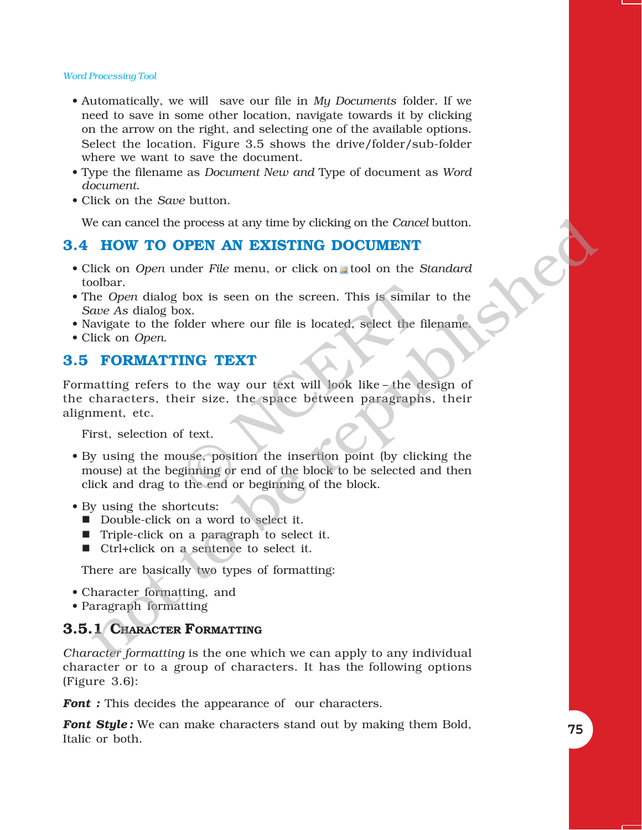- ï Automatically, we will save our file in *My Documents* folder. If we need to save in some other location, navigate towards it by clicking on the arrow on the right, and selecting one of the available options. Select the location. Figure 3.5 shows the drive/folder/sub-folder where we want to save the document.
- ï Type the filename as *Document New and* Type of document as *Word document*.
- Click on the *Save* button.

We can cancel the process at any time by clicking on the *Cancel* button.

# **3.4 HOW TO OPEN AN EXISTING DOCUMENT**

- Click on *Open* under *File* menu, or click on tool on the *Standard* toolbar.
- The *Open* dialog box is seen on the screen. This is similar to the *Save As* dialog box.
- Navigate to the folder where our file is located, select the filename.
- $\bullet$  Click on *Open*.

# **3.5 FORMATTING TEXT**

Formatting refers to the way our text will look like-the design of the characters, their size, the space between paragraphs, their alignment, etc.

First, selection of text.

- By using the mouse, position the insertion point (by clicking the mouse) at the beginning or end of the block to be selected and then click and drag to the end or beginning of the block. box is seen on the screen. This is simila<br>ox.<br>older where our file is located, select the f<br>**ING TEXT**<br>o the way our text will look like – the d<br>eir size, the space between paragraph<br>f text.<br>wuse, position the insertion po *ie* can cancel the process at any time by clicking on the *Cancel* button.<br> **HOW TO OPEN AN EXISTING DOCUMENT**<br>
lick on *Open* under File menu, or click on  $\mu$  tool on the *Standard*<br>  $\mu_0$  bulbar.<br>  $\mu_0$  come dialog
- By using the shortcuts:
	- Double-click on a word to select it.
	- Triple-click on a paragraph to select it.
	- Ctrl+click on a sentence to select it.

There are basically two types of formatting:

- Character formatting, and
- Paragraph formatting

# **3.5.1 CHARACTER FORMATTING**

*Character formatting* is the one which we can apply to any individual character or to a group of characters. It has the following options (Figure 3.6):

*Font* : This decides the appearance of our characters.

*Font Style :* We can make characters stand out by making them Bold, Italic or both.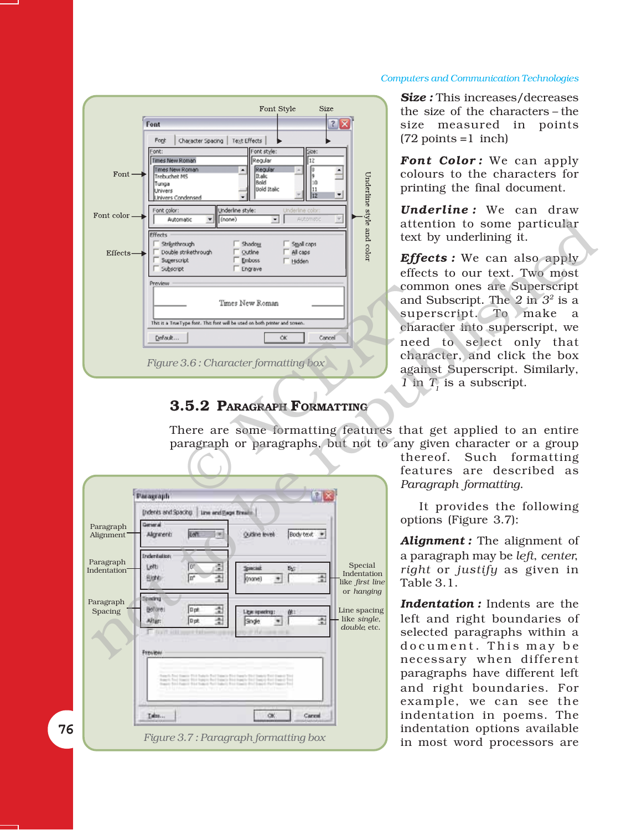#### *Computers and Communication Technologies*



# **3.5.2 PARAGRAPH FORMATTING**

*Size :* This increases/decreases the size of the characters – the size measured in points  $(72 \text{ points} = 1 \text{ inch})$ 

Font Color: We can apply colours to the characters for printing the final document.

*Underline :* We can draw attention to some particular text by underlining it.

| Effects<br>Strijgthrough<br>$\Gamma$ Shadow<br>$\Box$ Small caps<br>Double strikethrough<br>Outline<br>All caps<br>$Effects$ —<br><b>Emboss</b><br>Sugerscript<br>$\Gamma$ Hidden<br>Engrave<br>Subscript<br>Preview<br>Times New Roman<br>This is a TrueType font. This font will be used on both printer and screen.<br>Default<br><b>OK</b><br>Cancel<br>Figure $3.6$ : Character formatting box<br>3.5.2 PARAGRAPH FORMATTING                                                                                                                     | yle and color                                                                                           | attention to some particular<br>text by underlining it.<br><b>Effects:</b> We can also apply<br>effects to our text. Two most<br>common ones are Superscript<br>and Subscript. The 2 in $32$ is a<br>superscript. To make<br>a<br>character into superscript, we<br>need to select only that<br>character, and click the box<br>against Superscript. Similarly,<br>$1$ in $T_i$ is a subscript.                                                                                                                                                                                                                                                                                                                                                           |
|-------------------------------------------------------------------------------------------------------------------------------------------------------------------------------------------------------------------------------------------------------------------------------------------------------------------------------------------------------------------------------------------------------------------------------------------------------------------------------------------------------------------------------------------------------|---------------------------------------------------------------------------------------------------------|-----------------------------------------------------------------------------------------------------------------------------------------------------------------------------------------------------------------------------------------------------------------------------------------------------------------------------------------------------------------------------------------------------------------------------------------------------------------------------------------------------------------------------------------------------------------------------------------------------------------------------------------------------------------------------------------------------------------------------------------------------------|
| 学习<br>Paragraph<br>(ndents and Spacing   Line and Bage Breater<br>General<br>Paragraph<br>LAT.<br>īжI<br>Body text #<br>Qudine level:<br><b>Algricent:</b><br>Alignment<br><b>Indentation</b><br>Paragraph<br>œ<br>ŝ<br>Letti<br>Special<br>睑<br>Indentation<br>ュ<br>ſ۳<br>퓙<br>Blohb -<br>(hone)<br>$+1$<br>Specing<br>Paragraph<br>소<br>Dpt<br>Bollare:<br>Spacing<br>Ligaciopadrig:<br>소<br>뿤<br>Dpt<br>After:<br>Single<br>$\bullet$<br>Freview<br>harps full basely find hards.<br>OK.<br>Isba<br>Carcel<br>Figure 3.7: Paragraph formatting box | Special<br>Indentation<br>like first line<br>or hanging<br>Line spacing<br>like single,<br>double, etc. | There are some formatting features that get applied to an entire<br>paragraph or paragraphs, but not to any given character or a group<br>Such<br>thereof.<br>formatting<br>features are described as<br>Paragraph formatting.<br>It provides the following<br>options (Figure 3.7):<br>Alignment : The alignment of<br>a paragraph may be left, center,<br>right or justify as given in<br>Table 3.1.<br><b>Indentation:</b> Indents are the<br>left and right boundaries of<br>selected paragraphs within a<br>document. This may be<br>necessary when different<br>paragraphs have different left<br>and right boundaries. For<br>example, we can see the<br>indentation in poems. The<br>indentation options available<br>in most word processors are |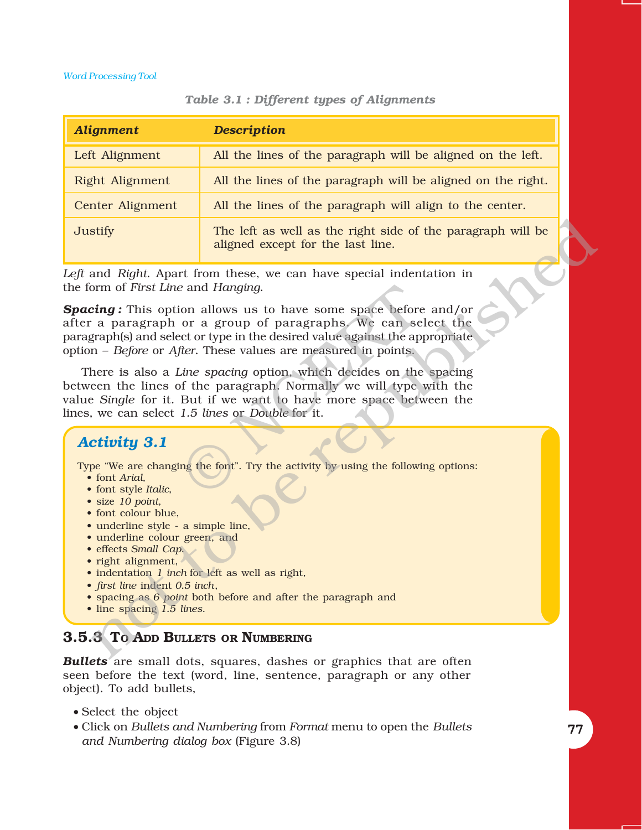| <b>Alignment</b> | <b>Description</b>                                                                               |
|------------------|--------------------------------------------------------------------------------------------------|
| Left Alignment   | All the lines of the paragraph will be aligned on the left.                                      |
| Right Alignment  | All the lines of the paragraph will be aligned on the right.                                     |
| Center Alignment | All the lines of the paragraph will align to the center.                                         |
| Justify          | The left as well as the right side of the paragraph will be<br>aligned except for the last line. |

#### *Table 3.1 : Different types of Alignments*

*Left* and *Right*. Apart from these, we can have special indentation in the form of *First Line* and *Hanging*.

*Spacing :* This option allows us to have some space before and/or after a paragraph or a group of paragraphs. We can select the paragraph(s) and select or type in the desired value against the appropriate option – *Before* or *After*. These values are measured in points.

There is also a *Line spacing* option, which decides on the spacing between the lines of the paragraph. Normally we will type with the value *Single* for it. But if we want to have more space between the lines, we can select *1.5 lines* or *Double* for it. Example 18 and Hanging.<br>
Some allows us to have some space before<br>
or a group of paragraphs. We can set or type in the desired value against the applifer. These values are measured in points.<br>
Since spacing option, which d strify<br>
strify<br>
in The left as well as the right side of the paragraph will be<br>
aligned except for the last line.<br>
and Rightl, Apart from these, we can have special indentation in<br>
form of *First Line* and *Henginga* us t

# *Activity 3.1*

Type "We are changing the font". Try the activity by using the following options:

- font *Arial*,
- font style *Italic*,
- size 10 point,
- font colour blue,
- $\bullet$  underline style a simple line,
- underline colour green, and
- ï effects *Small Cap*.
- $\bullet$  right alignment,
- indentation *1 inch* for left as well as right,
- ï *first line* indent *0.5 inch*,
- spacing as 6 *point* both before and after the paragraph and
- line spacing 1.5 lines.

# **3.5.3 TO ADD BULLETS OR NUMBERING**

*Bullets* are small dots, squares, dashes or graphics that are often seen before the text (word, line, sentence, paragraph or any other object). To add bullets,

- Select the object
- Click on *Bullets and Numbering* from *Format* menu to open the *Bullets and Numbering dialog box* (Figure 3.8)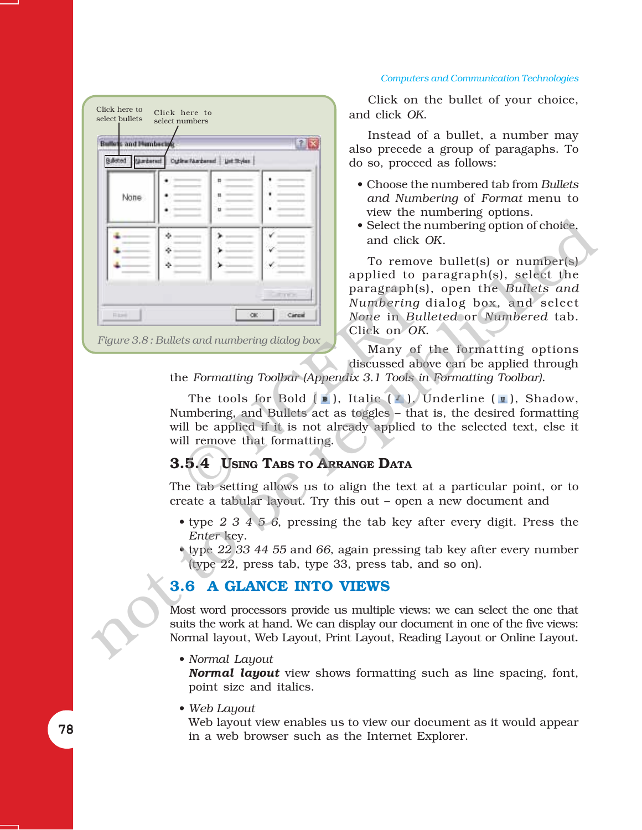#### *Computers and Communication Technologies*

| Click here to<br>Click here to<br>select bullets<br>select numbers                                                                 | CHCK on the bullet of your choice,<br>and click OK.                                                                                                                                                                                                                                                                                                                                                                                                                                                                                                                                                                                                                                                                                                                                 |
|------------------------------------------------------------------------------------------------------------------------------------|-------------------------------------------------------------------------------------------------------------------------------------------------------------------------------------------------------------------------------------------------------------------------------------------------------------------------------------------------------------------------------------------------------------------------------------------------------------------------------------------------------------------------------------------------------------------------------------------------------------------------------------------------------------------------------------------------------------------------------------------------------------------------------------|
| 28<br><b>Bullets and Hemberly</b><br>SAccod (Ambered CutherAmbered Untiltyles                                                      | Instead of a bullet, a number may<br>also precede a group of paragaphs. To<br>do so, proceed as follows:                                                                                                                                                                                                                                                                                                                                                                                                                                                                                                                                                                                                                                                                            |
| None<br><b>Transition</b><br>OK<br>Cancel<br>Hitel<br>Figure 3.8: Bullets and numbering dialog box<br>will remove that formatting. | • Choose the numbered tab from Bullets<br>and Numbering of Format menu to<br>view the numbering options.<br>• Select the numbering option of choice,<br>and click OK.<br>To remove bullet(s) or number(s)<br>applied to paragraph(s), select the<br>paragraph(s), open the Bullets and<br>Numbering dialog box, and select<br>None in Bulleted or Numbered tab.<br>Click on OK.<br>Many of the formatting options<br>discussed above can be applied through<br>the Formatting Toolbar (Appendix 3.1 Tools in Formatting Toolbar).<br>The tools for Bold $(\bullet)$ , Italic $(\bullet)$ , Underline $(\bullet)$ , Shadow,<br>Numbering, and Bullets act as toggles - that is, the desired formatting<br>will be applied if it is not already applied to the selected text, else it |
| 3.5.4 USING TABS TO ARRANGE DATA                                                                                                   |                                                                                                                                                                                                                                                                                                                                                                                                                                                                                                                                                                                                                                                                                                                                                                                     |
|                                                                                                                                    | The tab setting allows us to align the text at a particular point, or to<br>create a tabular layout. Try this out - open a new document and                                                                                                                                                                                                                                                                                                                                                                                                                                                                                                                                                                                                                                         |
| Enter key.                                                                                                                         | • type $2\,3\,4\,5\,6$ , pressing the tab key after every digit. Press the<br>type $22$ 33 44 55 and 66, again pressing tab key after every number<br>(type 22, press tab, type 33, press tab, and so on).                                                                                                                                                                                                                                                                                                                                                                                                                                                                                                                                                                          |
| <b>3.6 A GLANCE INTO VIEWS</b>                                                                                                     |                                                                                                                                                                                                                                                                                                                                                                                                                                                                                                                                                                                                                                                                                                                                                                                     |
|                                                                                                                                    | Most word processors provide us multiple views: we can select the one that<br>suits the work at hand. We can display our document in one of the five views:<br>Normal layout, Web Layout, Print Layout, Reading Layout or Online Layout.                                                                                                                                                                                                                                                                                                                                                                                                                                                                                                                                            |
| $\bullet$ Normal Lavout                                                                                                            |                                                                                                                                                                                                                                                                                                                                                                                                                                                                                                                                                                                                                                                                                                                                                                                     |

Click on the bullet of your choice, and click *OK*.

- ï Choose the numbered tab from *Bullets and Numbering* of *Format* menu to view the numbering options.
- Select the numbering option of choice, and click *OK*.

# **3.5.4 USING TABS TO ARRANGE DATA**

- type 2 3 4 5 6, pressing the tab key after every digit. Press the *Enter* key.
- ï type *22 33 44 55* and *66*, again pressing tab key after every number (type 22, press tab, type 33, press tab, and so on).

# **3.6 A GLANCE INTO VIEWS**

• *Normal Layout* 

*Normal layout* view shows formatting such as line spacing, font, point size and italics.

• Web Layout

Web layout view enables us to view our document as it would appear in a web browser such as the Internet Explorer.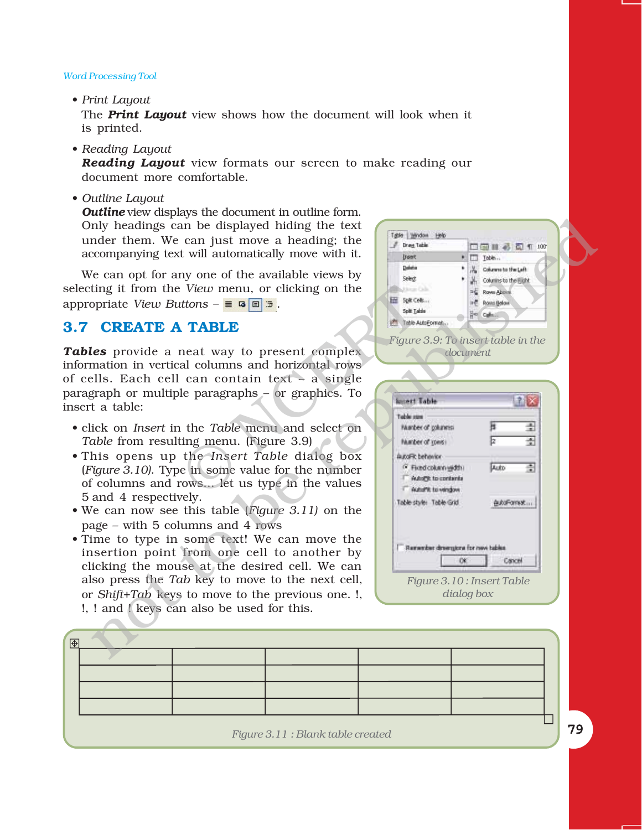• Print Layout

The *Print Layout* view shows how the document will look when it is printed.

• Reading Layout

*Reading Layout* view formats our screen to make reading our document more comfortable.

ï *Outline Layout*

*Outline* view displays the document in outline form. Only headings can be displayed hiding the text under them. We can just move a heading; the accompanying text will automatically move with it.

We can opt for any one of the available views by selecting it from the *View* menu, or clicking on the appropriate *View Buttons –*  $\equiv$   $\frac{1}{2}$ .

# **3.7 CREATE A TABLE**

*Tables* provide a neat way to present complex information in vertical columns and horizontal rows of cells. Each cell can contain text  $\overline{\phantom{a}}$  a single paragraph or multiple paragraphs  $-$  or graphics. To insert a table: Example the means of complex<br>
TABLE<br>
TABLE<br>
TABLE<br>
TABLE<br>
TRIP:<br>
TABLE<br>
TRIP:<br>
TABLE<br>
TRIP:<br>
TRIP:<br>
TRIP:<br>
TRIP:<br>
TRIP:<br>
TRIP:<br>
TRIP:<br>
TRIP:<br>
TRIP:<br>
TRIP:<br>
TRIP:<br>
TRIP:<br>
TRIP:<br>
TRIP:<br>
TRIP:<br>
TRIP:<br>
TRIP:<br>
TRIP:<br>
TRIP:<br>
TR

- ï click on *Insert* in the *Table* menu and select on *Table* from resulting menu. (Figure 3.9)
- ï This opens up the *Insert Table* dialog box (*Figure 3.10)*. Type in some value for the number of columns and rows... let us type in the values 5 and 4 respectively.
- We can now see this table (*Figure 3.11*) on the page  $-$  with 5 columns and 4 rows
- Time to type in some text! We can move the insertion point from one cell to another by clicking the mouse at the desired cell. We can also press the *Tab* key to move to the next cell, or *Shift+Tab* keys to move to the previous one. !, !, ! and ! keys can also be used for this.

| nly headings can be displayed hiding the text<br>nder them. We can just move a heading; the<br>companying text will automatically move with it.                                                                                                                                                                                                       | Table Window Help<br><b>Draw Table</b><br>□□■●□1 100<br><b>Doort</b><br>* Toble                                                                                                                                                            |
|-------------------------------------------------------------------------------------------------------------------------------------------------------------------------------------------------------------------------------------------------------------------------------------------------------------------------------------------------------|--------------------------------------------------------------------------------------------------------------------------------------------------------------------------------------------------------------------------------------------|
| e can opt for any one of the available views by<br>ting it from the View menu, or clicking on the<br>opriate View Buttons $-\equiv \sqrt{2}$                                                                                                                                                                                                          | Delate<br>of Column to the Left<br>Select<br><b>A.</b> Columns to the Fight<br>tion Ob.<br>PE Rove Above<br>Ent Spit Cels<br>ine Rows Below<br>Split Table<br>He Calmin                                                                    |
| <b>CREATE A TABLE</b>                                                                                                                                                                                                                                                                                                                                 | <b>ITT</b> Table AutoFormat                                                                                                                                                                                                                |
| les provide a neat way to present complex<br>mation in vertical columns and horizontal rows<br>ells. Each cell can contain text – a single<br>graph or multiple paragraphs – or graphics. To<br>t a table:                                                                                                                                            | Figure 3.9: To insert table in the<br>document<br>$\mathbf{r}_{\mathrm{X}}$<br><b>Somett Table</b>                                                                                                                                         |
| ick on Insert in the Table menu and select on<br>able from resulting menu. (Figure 3.9)<br>his opens up the Insert Table dialog box<br>Tigure 3.10). Type in some value for the number<br>f columns and rows let us type in the values<br>and 4 respectively.<br>It can now see this table (Figure $3.11$ ) on the<br>age – with 5 columns and 4 rows | Toble mm<br>퓙<br>Number of golunnist<br>繢<br>Þ<br>Number of Yones<br>AutoFR behavior<br>÷<br><sup>(2)</sup> Fixed column width:<br><b>Auto</b><br><b>Hubal in contents</b><br>· Auto/"it to vendow.<br>Table state: Table Grid<br>在此所示的地址: |
| ime to type in some text! We can move the<br>is ertion point from one cell to another by<br>licking the mouse at the desired cell. We can<br>so press the Tab key to move to the next cell,<br>r Shift+Tab keys to move to the previous one. !,<br>! and ! keys can also be used for this.                                                            | Remember dimensions for new tables<br>OK.<br>Cancel<br>Figure 3.10: Insert Table<br>dialog box                                                                                                                                             |
|                                                                                                                                                                                                                                                                                                                                                       |                                                                                                                                                                                                                                            |
|                                                                                                                                                                                                                                                                                                                                                       |                                                                                                                                                                                                                                            |

| 围 |  |                                  |  |  |
|---|--|----------------------------------|--|--|
|   |  |                                  |  |  |
|   |  |                                  |  |  |
|   |  |                                  |  |  |
|   |  |                                  |  |  |
|   |  |                                  |  |  |
|   |  | Figure 3.11: Blank table created |  |  |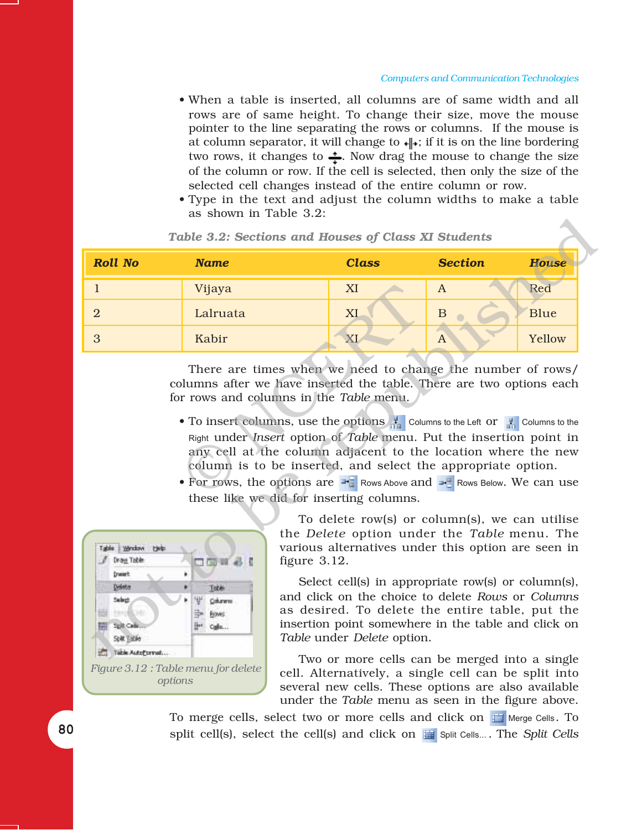- When a table is inserted, all columns are of same width and all rows are of same height. To change their size, move the mouse pointer to the line separating the rows or columns. If the mouse is at column separator, it will change to  $\psi$ ; if it is on the line bordering two rows, it changes to  $\div$ . Now drag the mouse to change the size of the column or row. If the cell is selected, then only the size of the selected cell changes instead of the entire column or row.
- Type in the text and adjust the column widths to make a table as shown in Table 3.2:

|                                                                           | Table 3.2: Sections and Houses of Class XI Students                                                                                                                                                                                                                                                                                                                                                                                                                                                                              |                                                                                                                                                                                                                                                               |                |              |
|---------------------------------------------------------------------------|----------------------------------------------------------------------------------------------------------------------------------------------------------------------------------------------------------------------------------------------------------------------------------------------------------------------------------------------------------------------------------------------------------------------------------------------------------------------------------------------------------------------------------|---------------------------------------------------------------------------------------------------------------------------------------------------------------------------------------------------------------------------------------------------------------|----------------|--------------|
| <b>Roll No</b>                                                            | <b>Name</b>                                                                                                                                                                                                                                                                                                                                                                                                                                                                                                                      | <b>Class</b>                                                                                                                                                                                                                                                  | <b>Section</b> | <b>House</b> |
| 1                                                                         | Vijaya                                                                                                                                                                                                                                                                                                                                                                                                                                                                                                                           | XI                                                                                                                                                                                                                                                            | $\mathbf{A}$   | Red          |
| $\overline{2}$                                                            | Lalruata                                                                                                                                                                                                                                                                                                                                                                                                                                                                                                                         | XI                                                                                                                                                                                                                                                            | B              | Blue         |
| 3                                                                         | Kabir                                                                                                                                                                                                                                                                                                                                                                                                                                                                                                                            | XI                                                                                                                                                                                                                                                            | $\bf{A}$       | Yellow       |
| <b>Himdow</b><br>上海县<br>Draw Table<br><b>Dream</b> :<br>Delete<br>Select: | for rows and columns in the Table menu.<br>• To insert columns, use the options to the Left or the Columns to the<br>Right under <i>Insert</i> option of <i>Table</i> menu. Put the insertion point in<br>any cell at the column adjacent to the location where the new<br>column is to be inserted, and select the appropriate option.<br>• For rows, the options are $\rightarrow$ Rows Above and $\rightarrow$ Rows Below. We can use<br>these like we did for inserting columns.<br>figure $3.12$ .<br>Toble<br>쌓<br>Columns | To delete row(s) or column(s), we can utilise<br>the Delete option under the Table menu. The<br>various alternatives under this option are seen in<br>Select cell(s) in appropriate row(s) or column(s),<br>and click on the choice to delete Rows or Columns |                |              |

|  |  |  |  |  |  |  |  | Table 3.2: Sections and Houses of Class XI Students |
|--|--|--|--|--|--|--|--|-----------------------------------------------------|
|--|--|--|--|--|--|--|--|-----------------------------------------------------|

- To insert columns, use the options  $\frac{1}{\sqrt{1}}$  Columns to the Left or  $\frac{1}{\sqrt{1}}$  Columns to the Right under *Insert* option of *Table* menu. Put the insertion point in any cell at the column adjacent to the location where the new column is to be inserted, and select the appropriate option.
- For rows, the options are  $\rightarrow$  Rows Above and  $\rightarrow$  Rows Below. We can use these like we did for inserting columns.



Two or more cells can be merged into a single cell. Alternatively, a single cell can be split into several new cells. These options are also available under the *Table* menu as seen in the figure above.

To merge cells, select two or more cells and click on  $\mathbb{H}$  Merge Cells. To split cell(s), select the cell(s) and click on **For** Split Cells.... The *Split Cells*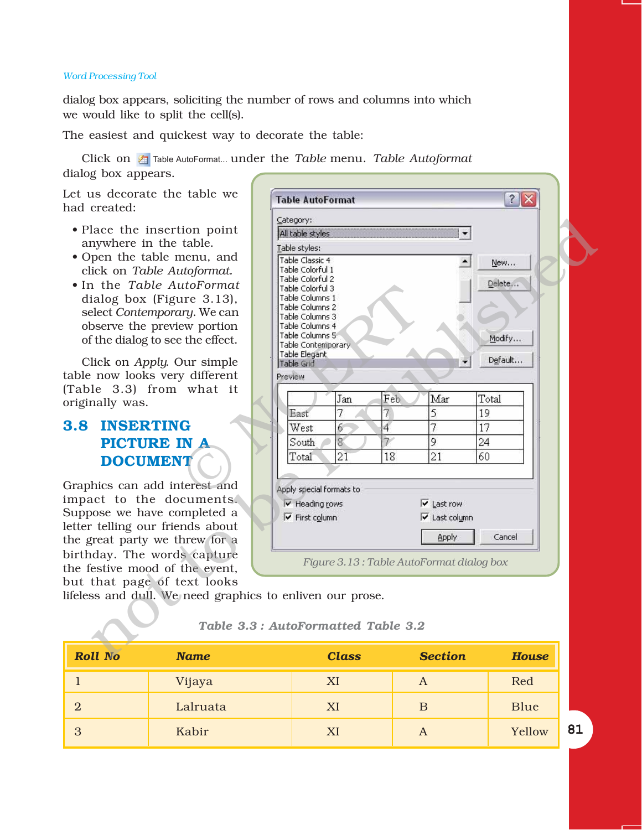dialog box appears, soliciting the number of rows and columns into which we would like to split the cell(s).

The easiest and quickest way to decorate the table:

Click on Table AutoFormat... under the *Table* menu. *Table Autoformat* dialog box appears.

Let us decorate the table we had created:

- Place the insertion point anywhere in the table.
- Open the table menu, and click on *Table Autoformat.*
- In the *Table AutoFormat* dialog box (Figure 3.13), select *Contemporary*. We can observe the preview portion of the dialog to see the effect.

Click on *Apply*. Our simple table now looks very different (Table 3.3) from what it originally was.

# **3.8 INSERTING PICTURE IN A DOCUMENT**

Graphics can add interest and impact to the documents. Suppose we have completed a letter telling our friends about the great party we threw for a birthday. The words capture the festive mood of the event, but that page of text looks

| 11 No<br><b>Name</b>                                | <b>Class</b>                             | <b>Section</b>                   | <b>House</b> |  |
|-----------------------------------------------------|------------------------------------------|----------------------------------|--------------|--|
|                                                     | Table 3.3: AutoFormatted Table 3.2       |                                  |              |  |
| ss and dull. We need graphics to enliven our prose. |                                          |                                  |              |  |
| that page of text looks                             |                                          |                                  |              |  |
| estive mood of the event,                           |                                          |                                  |              |  |
| day. The words capture                              | Figure 3.13: Table AutoFormat dialog box |                                  |              |  |
| great party we threw for a                          |                                          | <b>Apply</b>                     |              |  |
| telling our friends about                           |                                          |                                  | Cancel       |  |
| oose we have completed a                            | <b>V</b> First column                    | V Last column                    |              |  |
| act to the documents.                               | $\overline{\mathsf{v}}$ Heading rows     | $\overline{\mathsf{v}}$ Last row |              |  |
| hics can add interest and                           | Apply special formats to                 |                                  |              |  |
|                                                     |                                          |                                  |              |  |
| <b>DOCUMENT</b>                                     | 21<br>18<br>Total                        | 21                               | 60           |  |
| <b>PICTURE IN A</b>                                 | 8<br>South                               | 9                                | 24           |  |
| <b>INSERTING</b>                                    | $\overline{4}$<br>6<br>West              | 7                                | 17           |  |
|                                                     | 7<br>7<br>East                           | 5                                | 19           |  |
| nally was.                                          | Feb<br>Jan                               | Mar                              | Total        |  |
| le 3.3) from what it                                |                                          |                                  |              |  |
| now looks very different                            | Preview                                  |                                  |              |  |
| lick on Apply. Our simple                           | Table Elegant<br>Table Grid              |                                  | Default      |  |
| f the dialog to see the effect.                     | Table Contemporary                       |                                  |              |  |
| bserve the preview portion                          | Table Columns 4<br>Table Columns 5       |                                  | Modify       |  |
| elect Contemporary. We can                          | Table Columns 3                          |                                  |              |  |
| ialog box (Figure 3.13),                            | Table Columns 1<br>Table Columns 2       |                                  |              |  |
| the Table AutoFormat                                | Table Colorful 3                         |                                  | Delete       |  |
| ick on Table Autoformat.                            | Table Colorful 1<br>Table Colorful 2     |                                  |              |  |
| pen the table menu, and                             | Table Classic 4                          |                                  | New          |  |
| nywhere in the table.                               | Table styles:                            |                                  |              |  |
| lace the insertion point                            | All table styles                         |                                  |              |  |
|                                                     | Category:                                |                                  |              |  |
| us decorate the table we<br>created:                | <b>Table AutoFormat</b>                  |                                  | $?$ $\times$ |  |
|                                                     |                                          |                                  |              |  |
| חידי היי ה                                          |                                          |                                  |              |  |

lifeless and dull. We need graphics to enliven our prose.

*Roll No Name Class Section House* 1 Vijaya | XI | A | Red 2 | Lalruata | XI | B | Blue 3 | Kabir | XI | A | Yellow

#### *Table 3.3 : AutoFormatted Table 3.2*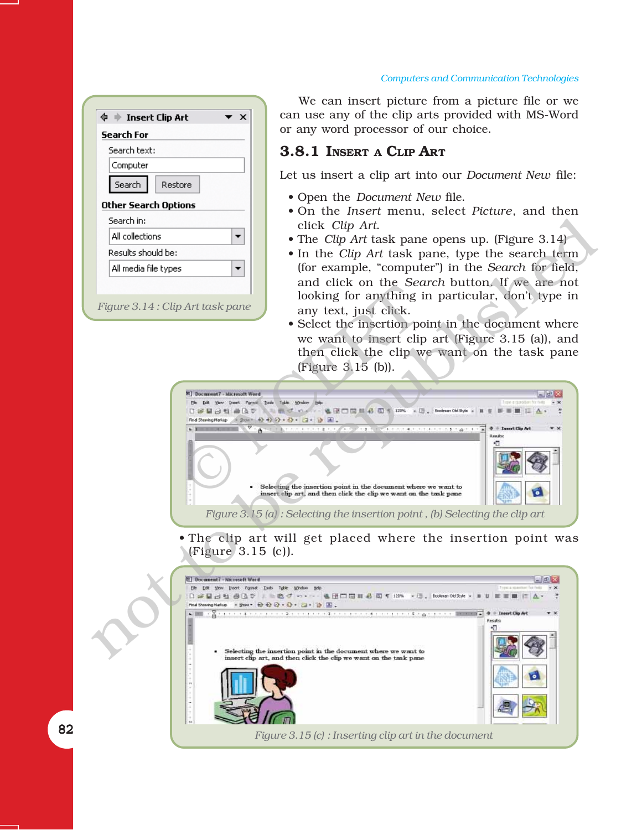| Search For           |         |
|----------------------|---------|
| Search text:         |         |
| Computer             |         |
| Search               | Restore |
| Other Search Options |         |
| Search in:           |         |
| All collections      |         |
| Results should be:   |         |
| All media file types |         |

We can insert picture from a picture file or we can use any of the clip arts provided with MS-Word or any word processor of our choice.

# **3.8.1 INSERT A CLIP ART**

Let us insert a clip art into our *Document New* file:

- Open the *Document New file.*
- On the *Insert* menu, select *Picture*, and then click *Clip Art*.
- The *Clip Art* task pane opens up. (Figure 3.14)
- In the *Clip Art* task pane, type the search term (for example, "computer") in the *Search* for field, and click on the *Search* button. If we are not looking for anything in particular, don't type in any text, just click.
- Select the insertion point in the document where we want to insert clip art (Figure 3.15 (a)), and then click the clip we want on the task pane (Figure 3.15 (b)).



• The clip art will get placed where the insertion point was (Figure 3.15 (c)).

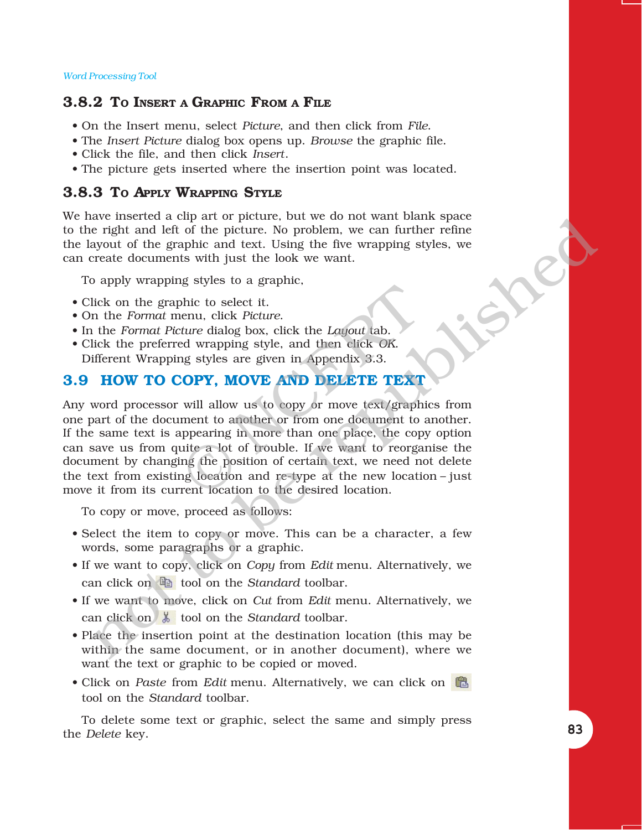# **3.8.2 TO INSERT A GRAPHIC FROM A FILE**

- ï On the Insert menu, select *Picture*, and then click from *File*.
- ï The *Insert Picture* dialog box opens up. *Browse* the graphic file.
- ï Click the file, and then click *Insert*.
- The picture gets inserted where the insertion point was located.

# **3.8.3 TO APPLY WRAPPING STYLE**

We have inserted a clip art or picture, but we do not want blank space to the right and left of the picture. No problem, we can further refine the layout of the graphic and text. Using the five wrapping styles, we can create documents with just the look we want.

To apply wrapping styles to a graphic,

- Click on the graphic to select it.
- On the *Format* menu, click *Picture*.
- In the *Format Picture* dialog box, click the *Layout* tab.
- ï Click the preferred wrapping style, and then click *OK*. Different Wrapping styles are given in Appendix 3.3.

# **3.9 HOW TO COPY, MOVE AND DELETE TEXT**

Any word processor will allow us to copy or move text/graphics from one part of the document to another or from one document to another. If the same text is appearing in more than one place, the copy option can save us from quite a lot of trouble. If we want to reorganise the document by changing the position of certain text, we need not delete the text from existing location and re-type at the new location  $-i$  just move it from its current location to the desired location. bhic to select it.<br>
enu, click Picture.<br>
ture dialog box, click the Layout tab.<br>
ed wrapping style, and then click OK.<br>
In Appendix 3.3.<br>
COPY, MOVE AND DELETE TEXT<br>
will allow us to copy or move text/graph<br>
ment to anothe assessmented with a to perture. For the too not want basin space<br>that alleft of the picture. No problem, we can further refine<br>errate documents with just the look we want.<br>There are the graphic and text. Using the five wr

To copy or move, proceed as follows:

- Select the item to copy or move. This can be a character, a few words, some paragraphs or a graphic.
- ï If we want to copy, click on *Copy* from *Edit* menu. Alternatively, we can click on  $\Box$  tool on the *Standard* toolbar.
- ï If we want to move, click on *Cut* from *Edit* menu. Alternatively, we can click on  $\frac{1}{6}$  tool on the *Standard* toolbar.
- Place the insertion point at the destination location (this may be within the same document, or in another document), where we want the text or graphic to be copied or moved.
- Click on *Paste* from *Edit* menu. Alternatively, we can click on tool on the *Standard* toolbar.

To delete some text or graphic, select the same and simply press the *Delete* key.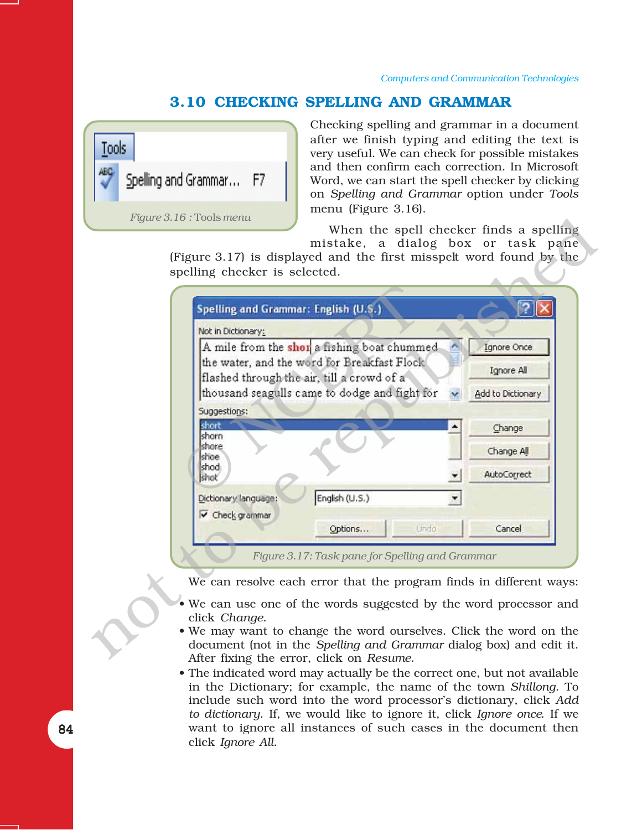# **3.10 CHECKING SPELLING AND GRAMMAR**



Checking spelling and grammar in a document after we finish typing and editing the text is very useful. We can check for possible mistakes and then confirm each correction. In Microsoft Word, we can start the spell checker by clicking on *Spelling and Grammar* option under *Tools* menu (Figure 3.16).

| A mile from the shot a fishing boat chummed |                                                                                                                                                                                      | Ignore Once                                     |
|---------------------------------------------|--------------------------------------------------------------------------------------------------------------------------------------------------------------------------------------|-------------------------------------------------|
|                                             |                                                                                                                                                                                      | Ignore All                                      |
|                                             |                                                                                                                                                                                      | Add to Dictionary                               |
|                                             |                                                                                                                                                                                      |                                                 |
|                                             |                                                                                                                                                                                      | Change                                          |
|                                             |                                                                                                                                                                                      | Change All                                      |
|                                             |                                                                                                                                                                                      | AutoCorrect                                     |
|                                             |                                                                                                                                                                                      |                                                 |
|                                             |                                                                                                                                                                                      |                                                 |
| Options<br><b>Undo</b>                      |                                                                                                                                                                                      | Cancel                                          |
|                                             |                                                                                                                                                                                      |                                                 |
|                                             |                                                                                                                                                                                      |                                                 |
|                                             | the water, and the word for Breakfast Flock<br>flashed through the air, till a crowd of a<br>thousand seagulls came to dodge and fight for<br>English (U.S.)<br>Dictionary language: | Figure 3.17: Task pane for Spelling and Grammar |

- We can use one of the words suggested by the word processor and click *Change*.
- We may want to change the word ourselves. Click the word on the document (not in the *Spelling and Grammar* dialog box) and edit it. After fixing the error, click on *Resume*.
- The indicated word may actually be the correct one, but not available in the Dictionary; for example, the name of the town *Shillong*. To include such word into the word processor's dictionary, click *Add to dictionary*. If, we would like to ignore it, click *Ignore once*. If we want to ignore all instances of such cases in the document then click *Ignore All*.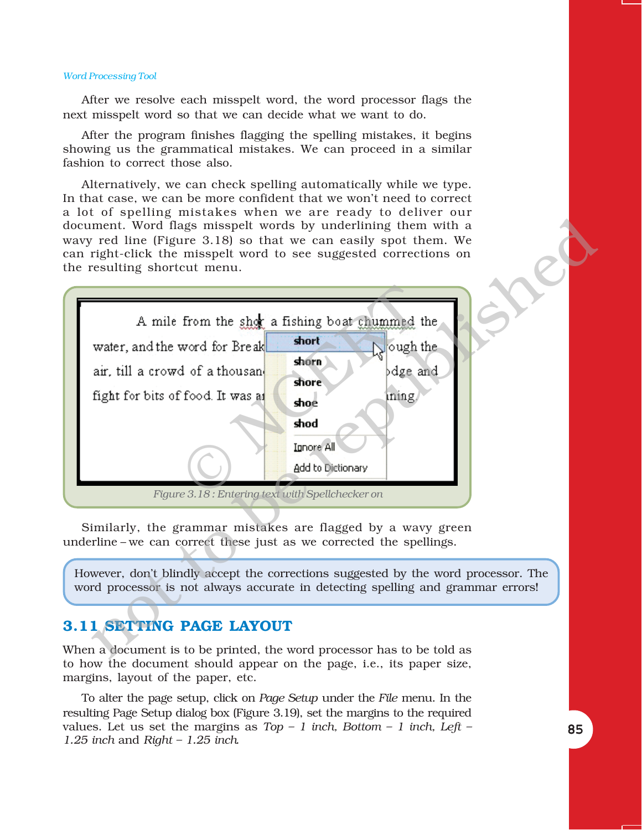After we resolve each misspelt word, the word processor flags the next misspelt word so that we can decide what we want to do.

After the program finishes flagging the spelling mistakes, it begins showing us the grammatical mistakes. We can proceed in a similar fashion to correct those also.

Alternatively, we can check spelling automatically while we type. In that case, we can be more confident that we won't need to correct a lot of spelling mistakes when we are ready to deliver our document. Word flags misspelt words by underlining them with a wavy red line (Figure 3.18) so that we can easily spot them. We can right-click the misspelt word to see suggested corrections on the resulting shortcut menu.



Similarly, the grammar mistakes are flagged by a wavy green underline – we can correct these just as we corrected the spellings.

However, donít blindly accept the corrections suggested by the word processor. The word processor is not always accurate in detecting spelling and grammar errors!

# **3.11 SETTING PAGE LAYOUT**

When a document is to be printed, the word processor has to be told as to how the document should appear on the page, i.e., its paper size, margins, layout of the paper, etc.

To alter the page setup, click on *Page Setup* under the *File* menu. In the resulting Page Setup dialog box (Figure 3.19), set the margins to the required values. Let us set the margins as  $Top - 1$  inch, Bottom  $- 1$  inch, Left  $-$ *1.25 inch and Right - 1.25 inch.*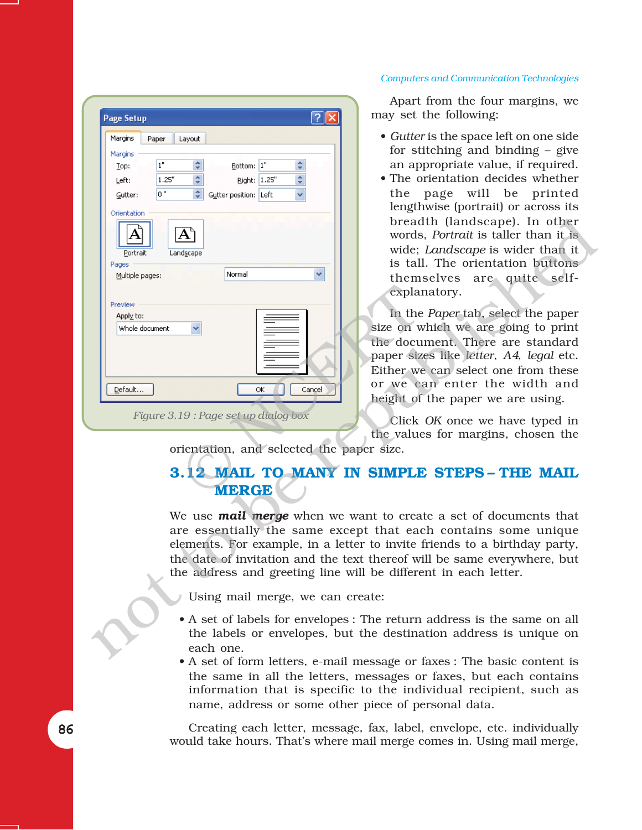# $\boxed{?}$   $\times$ **Page Setup** Margins Paper Layout Margins  $\hat{\mathbf{v}}$  $1"$ Bottom: 1"  $\hat{\mathbf{v}}$ Top: ÷ ÷ 1.25 Right: 1.25' Left: lo " Gutter position: Left Gutter:  $\checkmark$ Orientation not to be republishedExplanting to the size on with the document of the document of the document of the document of the document of the document of the value of the value of the value of the value of the value of the value of the value of the *Figure 3.19 : Page set up dialog box*

#### *Computers and Communication Technologies*

Apart from the four margins, we may set the following:

- *Gutter* is the space left on one side for stitching and binding  $-$  give an appropriate value, if required.
- The orientation decides whether the page will be printed lengthwise (portrait) or across its breadth (landscape). In other words, *Portrait* is taller than it is wide; *Landscape* is wider than it is tall. The orientation buttons themselves are quite selfexplanatory.

In the *Paper* tab, select the paper size on which we are going to print the document. There are standard paper sizes like *letter*, *A4*, *legal* etc. Either we can select one from these or we can enter the width and height of the paper we are using.

Click *OK* once we have typed in the values for margins, chosen the

orientation, and selected the paper size.

# **3.12 MAIL TO MANY IN SIMPLE STEPS - THE MAIL MERGE**

We use *mail merge* when we want to create a set of documents that are essentially the same except that each contains some unique elements. For example, in a letter to invite friends to a birthday party, the date of invitation and the text thereof will be same everywhere, but the address and greeting line will be different in each letter.

- Using mail merge, we can create:
- A set of labels for envelopes : The return address is the same on all the labels or envelopes, but the destination address is unique on each one.
- A set of form letters, e-mail message or faxes : The basic content is the same in all the letters, messages or faxes, but each contains information that is specific to the individual recipient, such as name, address or some other piece of personal data.

Creating each letter, message, fax, label, envelope, etc. individually would take hours. Thatís where mail merge comes in. Using mail merge,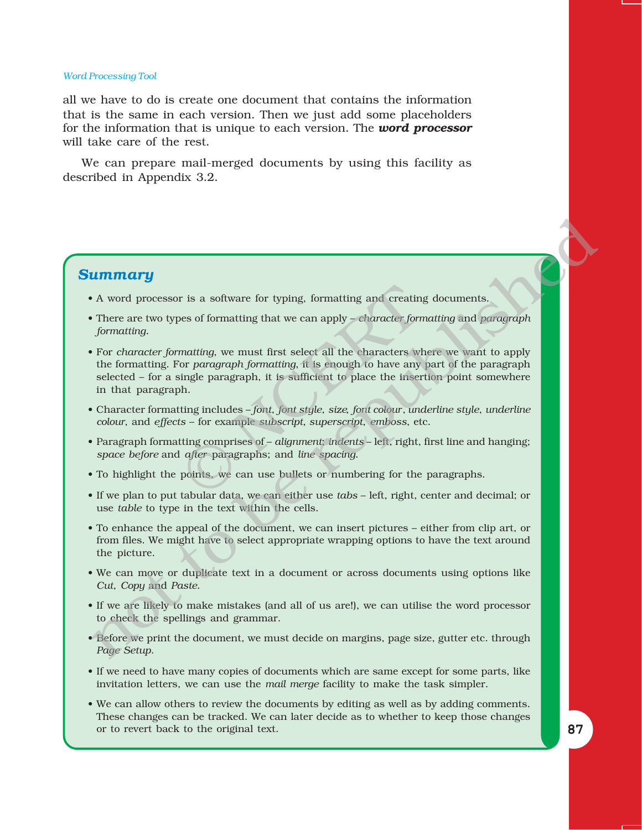all we have to do is create one document that contains the information that is the same in each version. Then we just add some placeholders for the information that is unique to each version. The *word processor* will take care of the rest.

We can prepare mail-merged documents by using this facility as described in Appendix 3.2.

#### *Summary*

- A word processor is a software for typing, formatting and creating documents.
- There are two types of formatting that we can apply *character formatting* and *paragraph formatting.*
- ï For *character formatting*, we must first select all the characters where we want to apply the formatting. For *paragraph formatting*, it is enough to have any part of the paragraph  $selected - for a single paragraph, it is sufficient to place the insertion point somewhere$ in that paragraph. r is a software for typing, formatting and creating<br>wes of formatting that we can apply – *character form*<br>matting, we must first select all the characters will<br>or paragraph formatting, it is enough to have any<br>ingle parag **Limitary**<br> **Limitary**<br>
A word processor is a software for typing, formatting and creating documents.<br>
There are two types of formating that we can apply *- elumedic* formating and paragraph<br>
For character formatting, we
- Character formatting includes  $-$  *font*, *font style*, *size*, *font colour*, *underline style*, *underline colour*, and *effects* – for example *subscript*, *superscript*, *emboss*, etc.
- Paragraph formatting comprises of *alignment*; *indents* left, right, first line and hanging; *space before* and *after* paragraphs; and *line spacing*.
- To highlight the points, we can use bullets or numbering for the paragraphs.
- If we plan to put tabular data, we can either use *tabs* left, right, center and decimal; or use *table* to type in the text within the cells.
- To enhance the appeal of the document, we can insert pictures either from clip art, or from files. We might have to select appropriate wrapping options to have the text around the picture.
- We can move or duplicate text in a document or across documents using options like *Cut*, *Copy* and *Paste*.
- ï If we are likely to make mistakes (and all of us are!), we can utilise the word processor to check the spellings and grammar.
- Before we print the document, we must decide on margins, page size, gutter etc. through *Page Setup*.
- If we need to have many copies of documents which are same except for some parts, like invitation letters, we can use the *mail merge* facility to make the task simpler.
- ï We can allow others to review the documents by editing as well as by adding comments. These changes can be tracked. We can later decide as to whether to keep those changes or to revert back to the original text.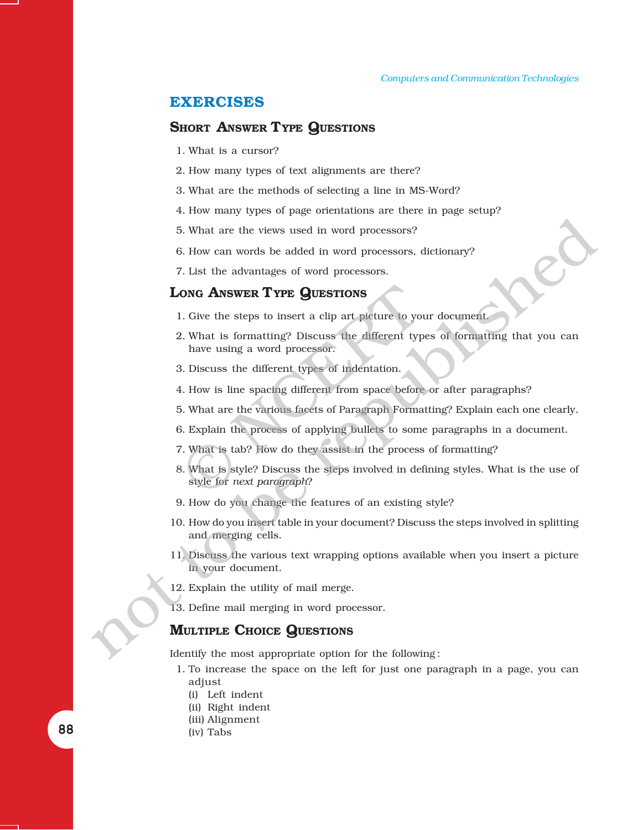#### **EXERCISES**

#### **SHORT ANSWER TYPE QUESTIONS**

- 1. What is a cursor?
- 2. How many types of text alignments are there?
- 3. What are the methods of selecting a line in MS-Word?
- 4. How many types of page orientations are there in page setup?
- 5. What are the views used in word processors?
- 6. How can words be added in word processors, dictionary?
- 7. List the advantages of word processors.

# **LONG ANSWER TYPE QUESTIONS**

- 1. Give the steps to insert a clip art picture to your document.
- 2. What is formatting? Discuss the different types of formatting that you can have using a word processor. **ONG ANSWER TYPE QUESTIONS**<br>
1. Give the steps to insert a clip art picture to you<br>
2. What is formatting? Discuss the different typ<br>
have using a word processor.<br>
3. Discuss the different types of indentation.<br>
1. How is
- 3. Discuss the different types of indentation.
- 4. How is line spacing different from space before or after paragraphs?
- 5. What are the various facets of Paragraph Formatting? Explain each one clearly.
- 6. Explain the process of applying bullets to some paragraphs in a document.
- 7. What is tab? How do they assist in the process of formatting?
- 8. What is style? Discuss the steps involved in defining styles. What is the use of style for *next paragraph*? 5. What are the views used in word processors?<br>
6. How can words be added in word processors, dictionary?<br>
7. List the advantages of word processors.<br> **Lowe ANSWER TYPE QUESTIONS**<br>
1. Give the steps to insert calip at poi
	- 9. How do you change the features of an existing style?
	- 10. How do you insert table in your document? Discuss the steps involved in splitting and merging cells.
	- 11. Discuss the various text wrapping options available when you insert a picture in your document.
	- 12. Explain the utility of mail merge.
	- 13. Define mail merging in word processor.

#### **MULTIPLE CHOICE QUESTIONS**

Identify the most appropriate option for the following :

- 1. To increase the space on the left for just one paragraph in a page, you can adjust
	- (i) Left indent
	- (ii) Right indent
	- (iii) Alignment
	- (iv) Tabs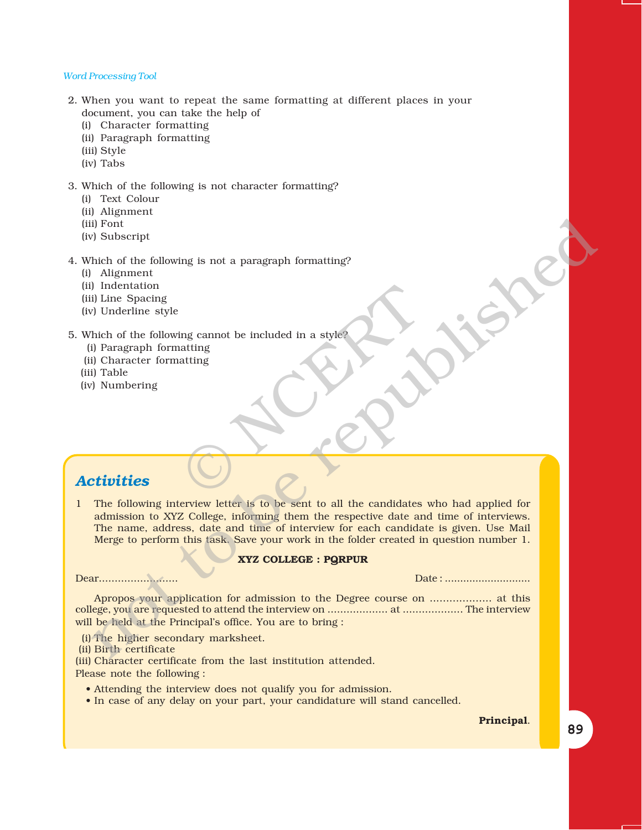- 2. When you want to repeat the same formatting at different places in your document, you can take the help of
	- (i) Character formatting
	- (ii) Paragraph formatting
	- (iii) Style
	- (iv) Tabs

#### 3. Which of the following is not character formatting?

- (i) Text Colour
- (ii) Alignment
- (iii) Font
- (iv) Subscript

#### 4. Which of the following is not a paragraph formatting?

- (i) Alignment
- (ii) Indentation
- (iii) Line Spacing
- (iv) Underline style

# 5. Which of the following cannot be included in a style? ing cannot be included in a style?

- (i) Paragraph formatting
- (ii) Character formatting
- (iii) Table
- (iv) Numbering

# *Activities*

1 The following interview letter is to be sent to all the candidates who had applied for admission to XYZ College, informing them the respective date and time of interviews. The name, address, date and time of interview for each candidate is given. Use Mail Merge to perform this task. Save your work in the folder created in question number 1. if Point<br>
and Point (Fig. 1) and the following is not a paragraph formatting?<br>
Altitude of the following is not a paragraph formatting?<br>
If helen of the following cannot be included in a style<br>  $\theta$  Underline style<br>
If Ta

#### **XYZ COLLEGE : PQRPUR**

Dear......................... Date : ............................

Apropos your application for admission to the Degree course on ................... at this college, you are requested to attend the interview on ................... at ................... The interview will be held at the Principal's office. You are to bring :

(i) The higher secondary marksheet.

(ii) Birth certificate

(iii) Character certificate from the last institution attended. Please note the following :

- Attending the interview does not qualify you for admission.
- In case of any delay on your part, your candidature will stand cancelled.

**Principal**.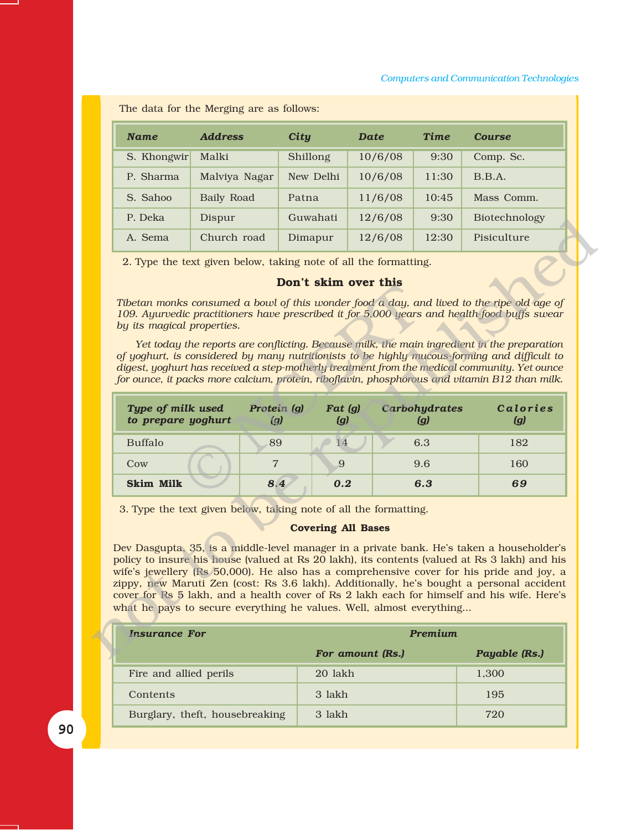The data for the Merging are as follows:

| <b>Name</b> | <b>Address</b> | City      | <b>Date</b> | Time  | <b>Course</b> |
|-------------|----------------|-----------|-------------|-------|---------------|
| S. Khongwir | Malki          | Shillong  | 10/6/08     | 9:30  | Comp. Sc.     |
| P. Sharma   | Malviya Nagar  | New Delhi | 10/6/08     | 11:30 | B.B.A.        |
| S. Sahoo    | Baily Road     | Patna     | 11/6/08     | 10:45 | Mass Comm.    |
| P. Deka     | Dispur         | Guwahati  | 12/6/08     | 9:30  | Biotechnology |
| A. Sema     | Church road    | Dimapur   | 12/6/08     | 12:30 | Pisiculture   |

#### **Donít skim over this**

| P. Deka                                 | Dispur                                                                                                                                   | Guwahati                  | 12/6/08 | 9:30                 | Biotechnology                                                                                                                                                                                                                                                                                                                                                                                                                                                                                                                                                                            |
|-----------------------------------------|------------------------------------------------------------------------------------------------------------------------------------------|---------------------------|---------|----------------------|------------------------------------------------------------------------------------------------------------------------------------------------------------------------------------------------------------------------------------------------------------------------------------------------------------------------------------------------------------------------------------------------------------------------------------------------------------------------------------------------------------------------------------------------------------------------------------------|
| A. Sema                                 | Church road                                                                                                                              | Dimapur                   | 12/6/08 | 12:30                | Pisiculture                                                                                                                                                                                                                                                                                                                                                                                                                                                                                                                                                                              |
| by its magical properties.              | 2. Type the text given below, taking note of all the formatting.                                                                         | Don't skim over this      |         |                      | Tibetan monks consumed a bowl of this wonder food a day, and lived to the ripe old age of<br>109. Ayurvedic practitioners have prescribed it for 5,000 years and health-food buffs swear<br>Yet today the reports are conflicting. Because milk, the main ingredient in the preparation<br>of yoghurt, is considered by many nutritionists to be highly mucous-forming and difficult to<br>digest, yoghurt has received a step-motherly treatment from the medical community. Yet ounce<br>for ounce, it packs more calcium, protein, riboflavin, phosphorous and vitamin B12 than milk. |
| Type of milk used<br>to prepare yoghurt | Protein (g)<br>(g)                                                                                                                       | Fat (g)<br>(g)            |         | Carbohydrates<br>(g) | <b>Calories</b><br>(g)                                                                                                                                                                                                                                                                                                                                                                                                                                                                                                                                                                   |
| <b>Buffalo</b>                          | 89                                                                                                                                       | 14                        |         | 6.3                  | 182                                                                                                                                                                                                                                                                                                                                                                                                                                                                                                                                                                                      |
| Cow                                     | $\overline{7}$                                                                                                                           | 9                         |         | 9.6                  | 160                                                                                                                                                                                                                                                                                                                                                                                                                                                                                                                                                                                      |
| <b>Skim Milk</b>                        |                                                                                                                                          | 8.4<br>0.2                |         | 6.3                  | 69                                                                                                                                                                                                                                                                                                                                                                                                                                                                                                                                                                                       |
|                                         | 3. Type the text given below, taking note of all the formatting.<br>what he pays to secure everything he values. Well, almost everything | <b>Covering All Bases</b> |         |                      | Dev Dasgupta, 35, is a middle-level manager in a private bank. He's taken a householder's<br>policy to insure his house (valued at Rs 20 lakh), its contents (valued at Rs 3 lakh) and his<br>wife's jewellery (Rs 50,000). He also has a comprehensive cover for his pride and joy, a<br>zippy, new Maruti Zen (cost: Rs 3.6 lakh). Additionally, he's bought a personal accident<br>cover for Rs 5 lakh, and a health cover of Rs 2 lakh each for himself and his wife. Here's                                                                                                         |
| <b>Insurance For</b>                    |                                                                                                                                          |                           |         | Premium              |                                                                                                                                                                                                                                                                                                                                                                                                                                                                                                                                                                                          |
|                                         |                                                                                                                                          |                           |         |                      |                                                                                                                                                                                                                                                                                                                                                                                                                                                                                                                                                                                          |

#### **Covering All Bases**

| <b>Insurance For</b>           | Premium          |               |  |
|--------------------------------|------------------|---------------|--|
|                                | For amount (Rs.) | Payable (Rs.) |  |
| Fire and allied perils         | 20 lakh          | 1,300         |  |
| Contents                       | 3 lakh           | 195           |  |
| Burglary, theft, housebreaking | 3 lakh           | 720           |  |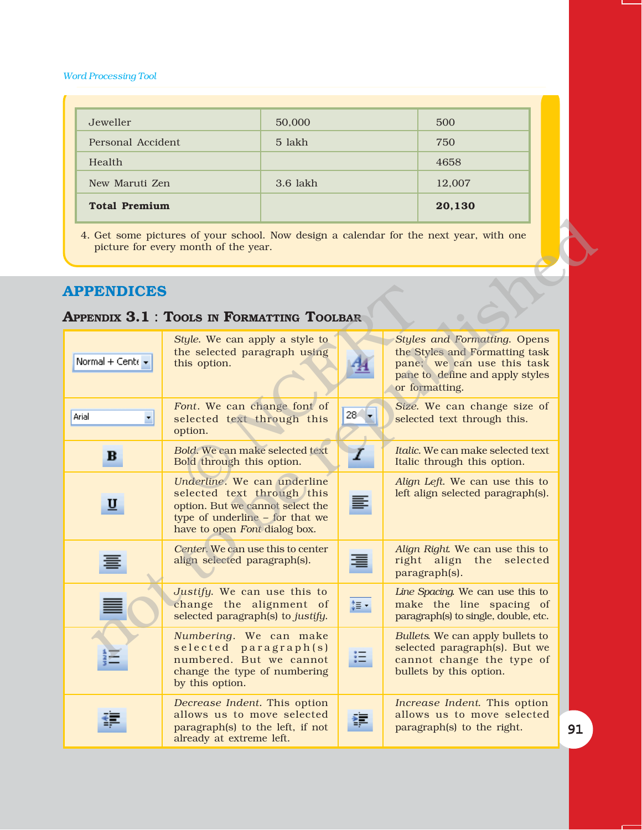| Jeweller             | 50,000     | 500    |
|----------------------|------------|--------|
| Personal Accident    | 5 lakh     | 750    |
| Health               |            | 4658   |
| New Maruti Zen       | $3.6$ lakh | 12,007 |
| <b>Total Premium</b> |            | 20,130 |

# **APPENDICES**

# **APPENDIX 3.1** : **TOOLS IN FORMATTING TOOLBAR**

|                          | 4. Get some pictures of your school. Now design a calendar for the next year, with one<br>picture for every month of the year.                                    |          |                                                                                                                                                          |    |
|--------------------------|-------------------------------------------------------------------------------------------------------------------------------------------------------------------|----------|----------------------------------------------------------------------------------------------------------------------------------------------------------|----|
| <b>APPENDICES</b>        | <b>APPENDIX 3.1: TOOLS IN FORMATTING TOOLBAR</b>                                                                                                                  |          |                                                                                                                                                          |    |
| Normal + Cente +         | Style. We can apply a style to<br>the selected paragraph using<br>this option.                                                                                    |          | <b>Styles and Formatting. Opens</b><br>the Styles and Formatting task<br>pane; we can use this task<br>pane to define and apply styles<br>or formatting. |    |
| Arial<br>×               | Font. We can change font of<br>selected text through this<br>option.                                                                                              | $28 - 7$ | Size. We can change size of<br>selected text through this.                                                                                               |    |
| в                        | Bold. We can make selected text<br>Bold through this option.                                                                                                      | Ι        | <i>Italic.</i> We can make selected text<br>Italic through this option.                                                                                  |    |
| $\underline{\mathtt{u}}$ | Underline. We can underline<br>selected text through this<br>option. But we cannot select the<br>type of underline - for that we<br>have to open Font dialog box. |          | Align Left. We can use this to<br>left align selected paragraph(s).                                                                                      |    |
|                          | Center. We can use this to center<br>align selected paragraph(s).                                                                                                 |          | Align Right We can use this to<br>right align the<br>selected<br>paragraph(s).                                                                           |    |
|                          | Justify. We can use this to<br>change the alignment of<br>selected paragraph(s) to justify.                                                                       | ‡≣ ∹     | Line Spacing. We can use this to<br>make the line spacing of<br>paragraph(s) to single, double, etc.                                                     |    |
|                          | Numbering. We can make<br>selected paragraph(s)<br>numbered. But we cannot<br>change the type of numbering<br>by this option.                                     |          | Bullets. We can apply bullets to<br>selected paragraph(s). But we<br>cannot change the type of<br>bullets by this option.                                |    |
|                          | Decrease Indent. This option<br>allows us to move selected<br>paragraph(s) to the left, if not<br>already at extreme left.                                        |          | Increase Indent. This option<br>allows us to move selected<br>paragraph(s) to the right.                                                                 | 91 |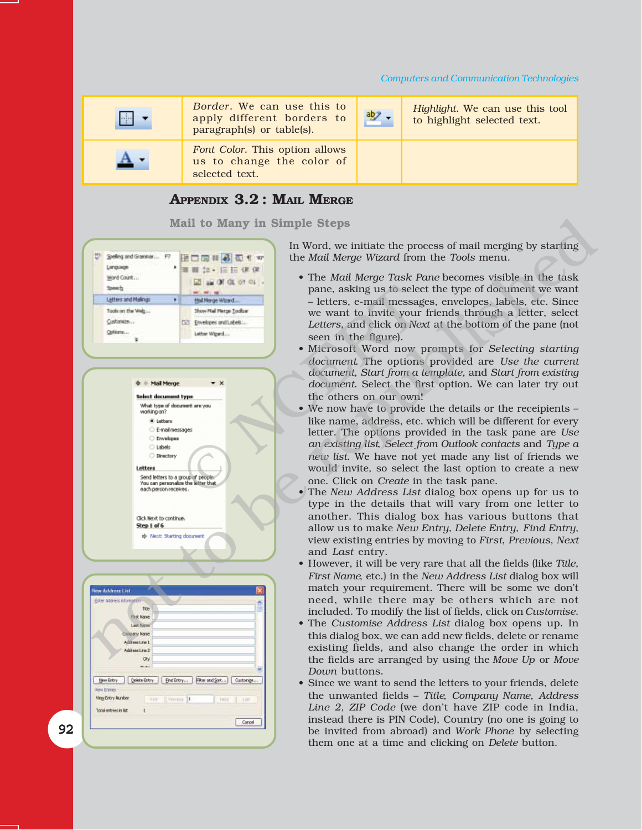#### *Computers and Communication Technologies*

| ÷ | Border. We can use this to<br>apply different borders to<br>paragraph(s) or table(s). | $\frac{ab}{2}$ . | Highlight. We can use this tool<br>to highlight selected text. |
|---|---------------------------------------------------------------------------------------|------------------|----------------------------------------------------------------|
|   | Font Color. This option allows<br>us to change the color of<br>selected text.         |                  |                                                                |

# **APPENDIX 3.2 : MAIL MERGE**

**Mail to Many in Simple Steps**

Mail to Many in Simple Steps<br>  $\frac{1}{2}$  and  $\frac{1}{2}$  and  $\frac{1}{2}$  and  $\frac{1}{2}$  and  $\frac{1}{2}$  and  $\frac{1}{2}$  and  $\frac{1}{2}$  and  $\frac{1}{2}$  and  $\frac{1}{2}$  and  $\frac{1}{2}$  and  $\frac{1}{2}$  and  $\frac{1}{2}$  and  $\frac{1}{2}$  and  $\frac{1}{2}$ 





| New Address List                                                          |                                                                                                           |  |
|---------------------------------------------------------------------------|-----------------------------------------------------------------------------------------------------------|--|
| Erker Address Information-                                                |                                                                                                           |  |
| <b>Title</b>                                                              |                                                                                                           |  |
| First Name                                                                |                                                                                                           |  |
| <b>Last Niese</b>                                                         |                                                                                                           |  |
| Congary Name                                                              |                                                                                                           |  |
| Address Line 1                                                            |                                                                                                           |  |
| Address Line 2                                                            |                                                                                                           |  |
| ON.                                                                       |                                                                                                           |  |
|                                                                           |                                                                                                           |  |
| <b>Work Entries:</b><br>View Entry Number<br>Total entries in list<br>$+$ | New Britan   Delete Britan   End Britan   Filter and Sort    Customer<br>The   hour   1 -<br>Felix   East |  |
|                                                                           | Cancel                                                                                                    |  |
|                                                                           |                                                                                                           |  |

92

In Word, we initiate the process of mail merging by starting the *Mail Merge Wizard* from the *Tools* menu.

- The *Mail Merge Task Pane* becomes visible in the task pane, asking us to select the type of document we want – letters, e-mail messages, envelopes, labels, etc. Since we want to invite your friends through a letter, select *Letters*, and click on *Next* at the bottom of the pane (not seen in the figure).
- ï Microsoft Word now prompts for *Selecting starting document*. The options provided are *Use the current document*, *Start from a template*, and *Start from existing document*. Select the first option. We can later try out the others on our own!
- $\bullet$  We now have to provide the details or the receipients like name, address, etc. which will be different for every letter. The options provided in the task pane are *Use an existing list*, *Select from Outlook contacts* and *Type a new list*. We have not yet made any list of friends we would invite, so select the last option to create a new one. Click on *Create* in the task pane. Paint are paid to be the set of the set of the set of the set of the set of the set of the set of the set of the set of the set of the set of the set of the set of the set of the set of the set of the set of the set of the
	- The *New Address List* dialog box opens up for us to type in the details that will vary from one letter to another. This dialog box has various buttons that allow us to make *New Entry*, *Delete Entry*, *Find Entry*, view existing entries by moving to *First*, *Previous*, *Next* and *Last* entry.
	- ï However, it will be very rare that all the fields (like *Title*, *First Name*, etc.) in the *New Address List* dialog box will match your requirement. There will be some we don't need, while there may be others which are not included. To modify the list of fields, click on *Customise*.
	- The *Customise Address List* dialog box opens up. In this dialog box, we can add new fields, delete or rename existing fields, and also change the order in which the fields are arranged by using the *Move Up* or *Move Down* buttons.
	- Since we want to send the letters to your friends, delete the unwanted fields - Title, *Company Name*, *Address* Line 2, ZIP Code (we don't have ZIP code in India, instead there is PIN Code), Country (no one is going to be invited from abroad) and *Work Phone* by selecting them one at a time and clicking on *Delete* button.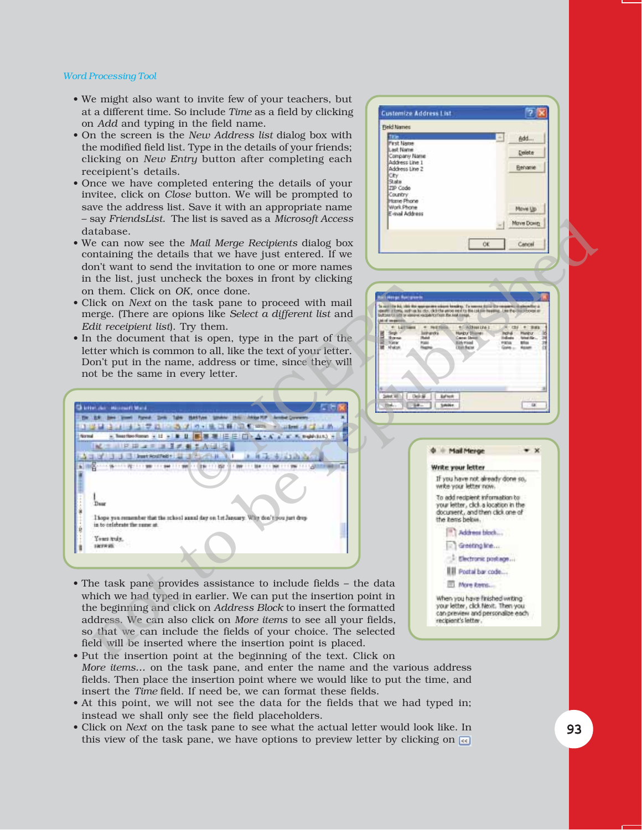- We might also want to invite few of your teachers, but at a different time. So include *Time* as a field by clicking on *Add* and typing in the field name.
- ï On the screen is the *New Address list* dialog box with the modified field list. Type in the details of your friends; clicking on *New Entry* button after completing each receipient's details.
- Once we have completed entering the details of your invitee, click on *Close* button. We will be prompted to save the address list. Save it with an appropriate name  $-$  say *FriendsList*. The list is saved as a *Microsoft Access* database.
- ï We can now see the *Mail Merge Recipients* dialog box containing the details that we have just entered. If we don't want to send the invitation to one or more names in the list, just uncheck the boxes in front by clicking on them. Click on *OK,* once done.
- Click on *Next* on the task pane to proceed with mail merge. (There are opions like *Select a different list* and *Edit receipient list*). Try them.
- In the document that is open, type in the part of the letter which is common to all, like the text of your letter. Donít put in the name, address or time, since they will not be the same in every letter.



- The task pane provides assistance to include fields the data which we had typed in earlier. We can put the insertion point in the beginning and click on *Address Block* to insert the formatted address. We can also click on *More items* to see all your fields, so that we can include the fields of your choice. The selected field will be inserted where the insertion point is placed.
- Put the insertion point at the beginning of the text. Click on *More items...* on the task pane, and enter the name and the various address fields. Then place the insertion point where we would like to put the time, and insert the *Time* field. If need be, we can format these fields.
- At this point, we will not see the data for the fields that we had typed in; instead we shall only see the field placeholders.
- Click on *Next* on the task pane to see what the actual letter would look like. In this view of the task pane, we have options to preview letter by clicking on  $\overline{\mathbb{R}}$

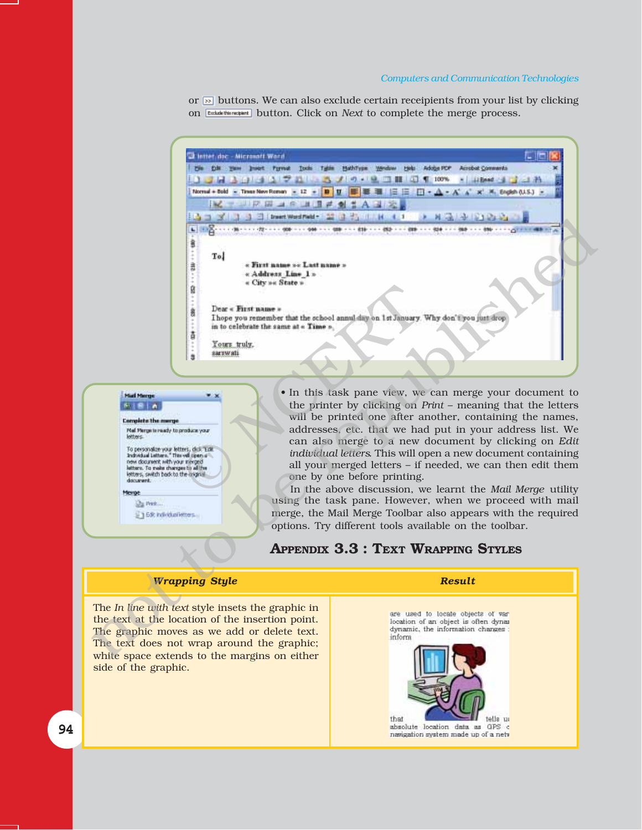#### *Computers and Communication Technologies*

or  $\infty$  buttons. We can also exclude certain receipients from your list by clicking on **Exclude this recepant** button. Click on *Next* to complete the merge process.





the printer by clicking on *Print* – meaning that the letters will be printed one after another, containing the names, addresses, etc. that we had put in your address list. We can also merge to a new document by clicking on *Edit individual letters*. This will open a new document containing all your merged letters - if needed, we can then edit them one by one before printing.

In the above discussion, we learnt the *Mail Merge* utility using the task pane. However, when we proceed with mail merge, the Mail Merge Toolbar also appears with the required options. Try different tools available on the toolbar.

# **APPENDIX 3.3 : TEXT WRAPPING STYLES**